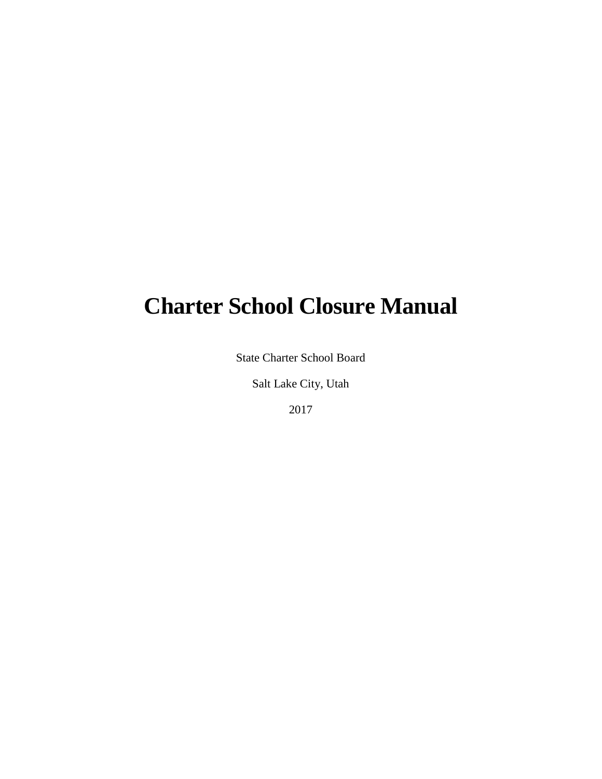# **Charter School Closure Manual**

State Charter School Board

Salt Lake City, Utah

2017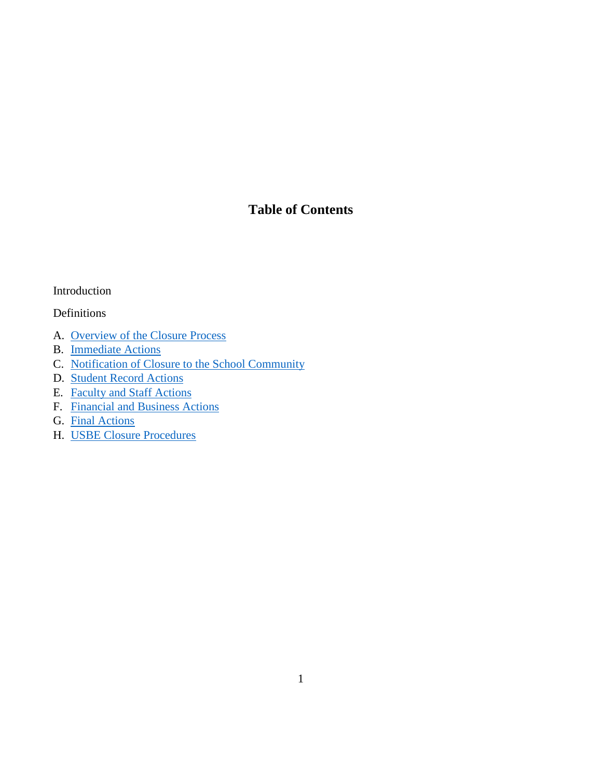#### **Table of Contents**

#### Introduction

#### Definitions

- A. [Overview of the Closure Process](#page-4-0)
- B. [Immediate Actions](#page-5-0)
- C. [Notification of Closure to](#page-8-0) the School Community
- D. [Student Record](#page-10-0) Actions
- E. [Faculty and Staff Actions](#page-11-0)
- F. [Financial and Business Actions](#page-13-0)
- G. [Final Actions](#page-15-0)
- H. USBE Closure [Procedures](#page-16-0)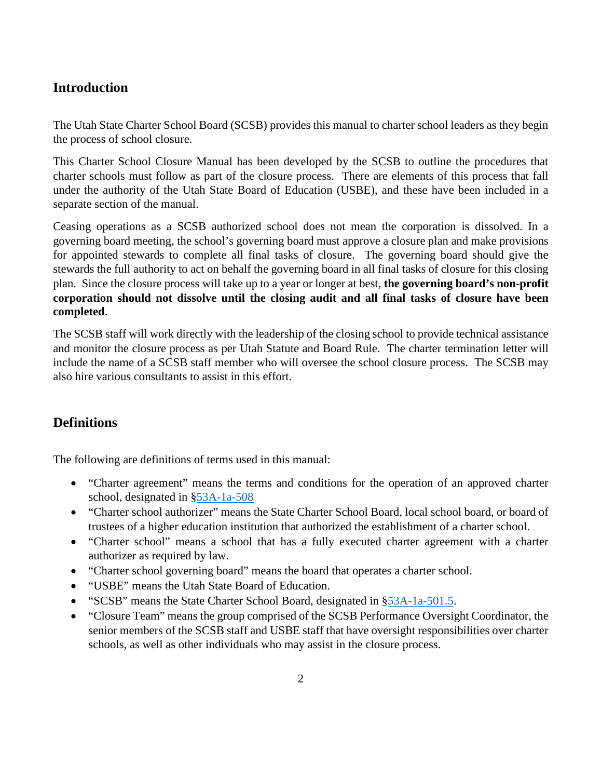#### **Introduction**

The Utah State Charter School Board (SCSB) provides this manual to charter school leaders as they begin the process of school closure.

This Charter School Closure Manual has been developed by the SCSB to outline the procedures that charter schools must follow as part of the closure process. There are elements of this process that fall under the authority of the Utah State Board of Education (USBE), and these have been included in a separate section of the manual.

Ceasing operations as a SCSB authorized school does not mean the corporation is dissolved. In a governing board meeting, the school's governing board must approve a closure plan and make provisions for appointed stewards to complete all final tasks of closure. The governing board should give the stewards the full authority to act on behalf the governing board in all final tasks of closure for this closing plan. Since the closure process will take up to a year or longer at best, **the governing board's non-profit corporation should not dissolve until the closing audit and all final tasks of closure have been completed**.

The SCSB staff will work directly with the leadership of the closing school to provide technical assistance and monitor the closure process as per Utah Statute and Board Rule. The charter termination letter will include the name of a SCSB staff member who will oversee the school closure process. The SCSB may also hire various consultants to assist in this effort.

#### **Definitions**

The following are definitions of terms used in this manual:

- "Charter agreement" means the terms and conditions for the operation of an approved charter school, designated in [§53A-1a-508](https://le.utah.gov/xcode/Title53A/Chapter1A/53A-1a-S508.html)
- "Charter school authorizer" means the State Charter School Board, local school board, or board of trustees of a higher education institution that authorized the establishment of a charter school.
- "Charter school" means a school that has a fully executed charter agreement with a charter authorizer as required by law.
- "Charter school governing board" means the board that operates a charter school.
- "USBE" means the Utah State Board of Education.
- "SCSB" means the State Charter School Board, designated in [§53A-1a-501.5.](https://le.utah.gov/xcode/Title53A/Chapter1A/53A-1a-S501.5.html?v=C53A-1a-S501.5_1800010118000101)
- "Closure Team" means the group comprised of the SCSB Performance Oversight Coordinator, the senior members of the SCSB staff and USBE staff that have oversight responsibilities over charter schools, as well as other individuals who may assist in the closure process.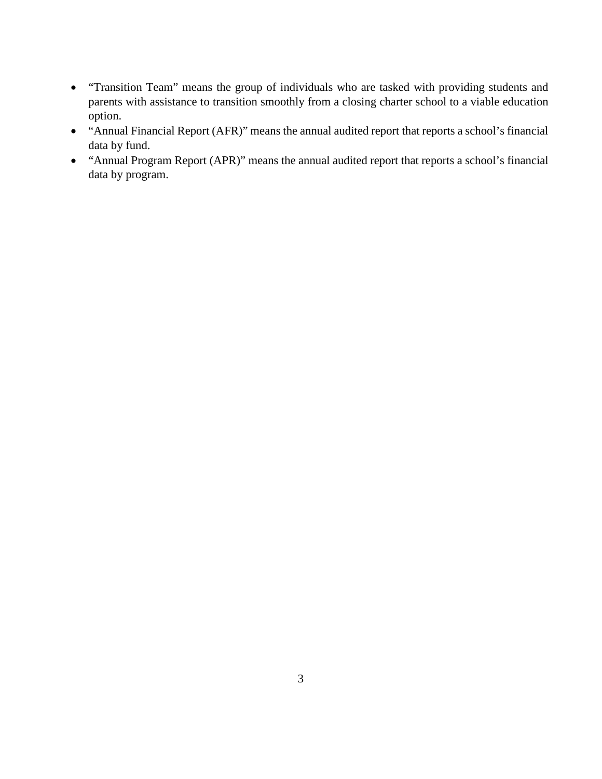- "Transition Team" means the group of individuals who are tasked with providing students and parents with assistance to transition smoothly from a closing charter school to a viable education option.
- "Annual Financial Report (AFR)" means the annual audited report that reports a school's financial data by fund.
- "Annual Program Report (APR)" means the annual audited report that reports a school's financial data by program.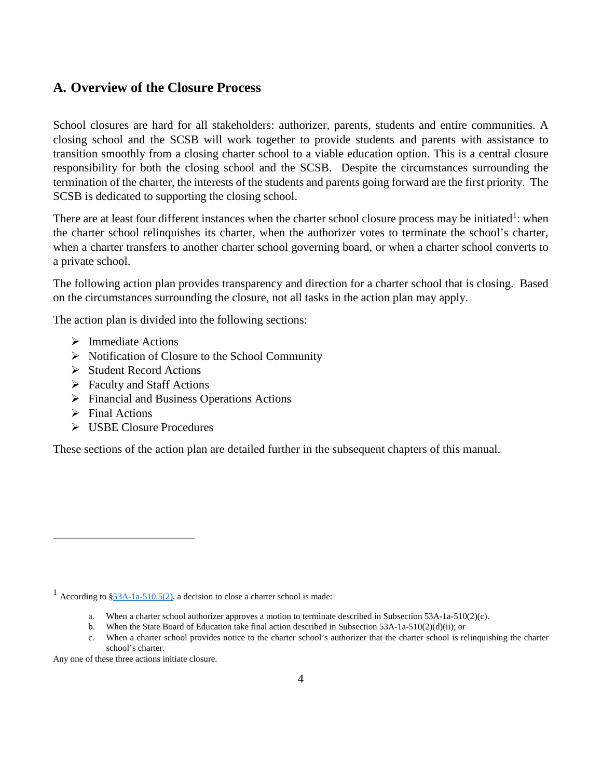#### <span id="page-4-0"></span>**A. Overview of the Closure Process**

School closures are hard for all stakeholders: authorizer, parents, students and entire communities. A closing school and the SCSB will work together to provide students and parents with assistance to transition smoothly from a closing charter school to a viable education option. This is a central closure responsibility for both the closing school and the SCSB. Despite the circumstances surrounding the termination of the charter, the interests of the students and parents going forward are the first priority. The SCSB is dedicated to supporting the closing school.

There are at least four different instances when the charter school closure process may be initiated<sup>[1](#page-4-1)</sup>: when the charter school relinquishes its charter, when the authorizer votes to terminate the school's charter, when a charter transfers to another charter school governing board, or when a charter school converts to a private school.

The following action plan provides transparency and direction for a charter school that is closing. Based on the circumstances surrounding the closure, not all tasks in the action plan may apply.

The action plan is divided into the following sections:

- $\triangleright$  Immediate Actions
- $\triangleright$  Notification of Closure to the School Community
- $\triangleright$  Student Record Actions
- Faculty and Staff Actions
- Financial and Business Operations Actions
- $\triangleright$  Final Actions

 $\overline{a}$ 

USBE Closure Procedures

These sections of the action plan are detailed further in the subsequent chapters of this manual.

b. When the State Board of Education take final action described in Subsection 53A-1a-510(2)(d)(ii); or

Any one of these three actions initiate closure.

<span id="page-4-1"></span><sup>&</sup>lt;sup>1</sup> According to  $\S$ 53A-1a-510.5(2), a decision to close a charter school is made:

a. When a charter school authorizer approves a motion to terminate described in Subsection 53A-1a-510(2)(c).

c. When a charter school provides notice to the charter school's authorizer that the charter school is relinquishing the charter school's charter.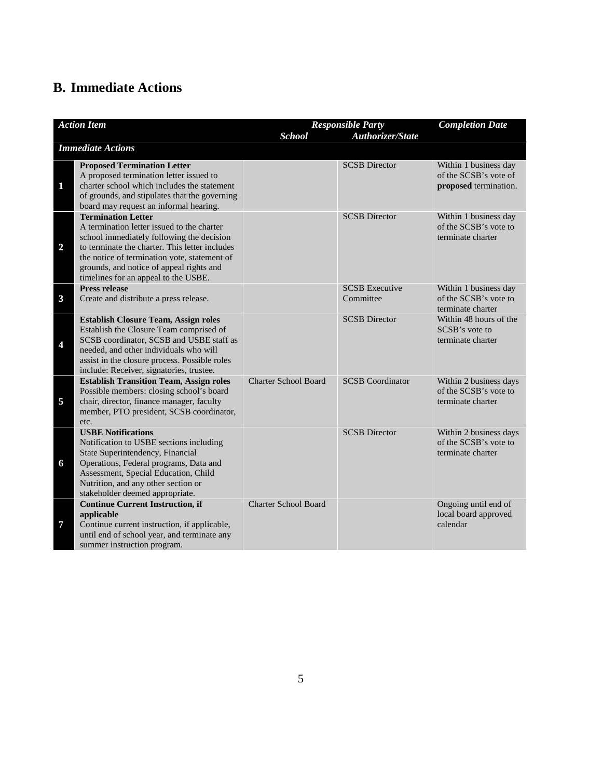## <span id="page-5-0"></span>**B. Immediate Actions**

|                         | <b>Action Item</b>                                                                                                                                                                                                                                                                                         | <b>School</b>               | <b>Responsible Party</b><br>Authorizer/State | <b>Completion Date</b>                                                  |
|-------------------------|------------------------------------------------------------------------------------------------------------------------------------------------------------------------------------------------------------------------------------------------------------------------------------------------------------|-----------------------------|----------------------------------------------|-------------------------------------------------------------------------|
|                         | <b>Immediate Actions</b>                                                                                                                                                                                                                                                                                   |                             |                                              |                                                                         |
| $\mathbf{1}$            | <b>Proposed Termination Letter</b><br>A proposed termination letter issued to<br>charter school which includes the statement<br>of grounds, and stipulates that the governing<br>board may request an informal hearing.                                                                                    |                             | <b>SCSB</b> Director                         | Within 1 business day<br>of the SCSB's vote of<br>proposed termination. |
| $\overline{2}$          | <b>Termination Letter</b><br>A termination letter issued to the charter<br>school immediately following the decision<br>to terminate the charter. This letter includes<br>the notice of termination vote, statement of<br>grounds, and notice of appeal rights and<br>timelines for an appeal to the USBE. |                             | <b>SCSB</b> Director                         | Within 1 business day<br>of the SCSB's vote to<br>terminate charter     |
| $\mathbf{3}$            | <b>Press release</b><br>Create and distribute a press release.                                                                                                                                                                                                                                             |                             | <b>SCSB</b> Executive<br>Committee           | Within 1 business day<br>of the SCSB's vote to<br>terminate charter     |
| $\overline{\mathbf{4}}$ | <b>Establish Closure Team, Assign roles</b><br>Establish the Closure Team comprised of<br>SCSB coordinator, SCSB and USBE staff as<br>needed, and other individuals who will<br>assist in the closure process. Possible roles<br>include: Receiver, signatories, trustee.                                  |                             | <b>SCSB</b> Director                         | Within 48 hours of the<br>SCSB's vote to<br>terminate charter           |
| 5                       | <b>Establish Transition Team, Assign roles</b><br>Possible members: closing school's board<br>chair, director, finance manager, faculty<br>member, PTO president, SCSB coordinator,<br>etc.                                                                                                                | <b>Charter School Board</b> | <b>SCSB</b> Coordinator                      | Within 2 business days<br>of the SCSB's vote to<br>terminate charter    |
| 6                       | <b>USBE Notifications</b><br>Notification to USBE sections including<br>State Superintendency, Financial<br>Operations, Federal programs, Data and<br>Assessment, Special Education, Child<br>Nutrition, and any other section or<br>stakeholder deemed appropriate.                                       |                             | <b>SCSB</b> Director                         | Within 2 business days<br>of the SCSB's vote to<br>terminate charter    |
| 7                       | <b>Continue Current Instruction, if</b><br>applicable<br>Continue current instruction, if applicable,<br>until end of school year, and terminate any<br>summer instruction program.                                                                                                                        | <b>Charter School Board</b> |                                              | Ongoing until end of<br>local board approved<br>calendar                |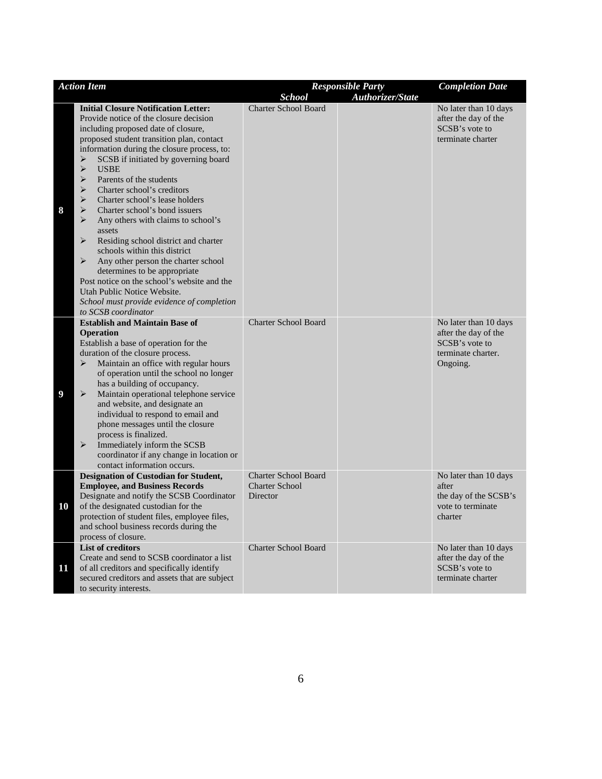| <b>Action Item</b> |                                                                                                                                                                                                                                                                                                                                                                                                                                                                                                                                                                                                                                                                                                                                                                                                                                                                                                                                    |                                                                  | <b>Responsible Party</b> | <b>Completion Date</b>                                                                            |
|--------------------|------------------------------------------------------------------------------------------------------------------------------------------------------------------------------------------------------------------------------------------------------------------------------------------------------------------------------------------------------------------------------------------------------------------------------------------------------------------------------------------------------------------------------------------------------------------------------------------------------------------------------------------------------------------------------------------------------------------------------------------------------------------------------------------------------------------------------------------------------------------------------------------------------------------------------------|------------------------------------------------------------------|--------------------------|---------------------------------------------------------------------------------------------------|
|                    |                                                                                                                                                                                                                                                                                                                                                                                                                                                                                                                                                                                                                                                                                                                                                                                                                                                                                                                                    | <b>School</b>                                                    | Authorizer/State         |                                                                                                   |
| 8                  | <b>Initial Closure Notification Letter:</b><br>Provide notice of the closure decision<br>including proposed date of closure,<br>proposed student transition plan, contact<br>information during the closure process, to:<br>SCSB if initiated by governing board<br>➤<br>$\blacktriangleright$<br><b>USBE</b><br>$\blacktriangleright$<br>Parents of the students<br>$\blacktriangleright$<br>Charter school's creditors<br>$\blacktriangleright$<br>Charter school's lease holders<br>➤<br>Charter school's bond issuers<br>⋗<br>Any others with claims to school's<br>assets<br>$\blacktriangleright$<br>Residing school district and charter<br>schools within this district<br>$\blacktriangleright$<br>Any other person the charter school<br>determines to be appropriate<br>Post notice on the school's website and the<br>Utah Public Notice Website.<br>School must provide evidence of completion<br>to SCSB coordinator | <b>Charter School Board</b>                                      |                          | No later than 10 days<br>after the day of the<br>SCSB's vote to<br>terminate charter              |
| $\boldsymbol{9}$   | <b>Establish and Maintain Base of</b><br><b>Operation</b><br>Establish a base of operation for the<br>duration of the closure process.<br>$\blacktriangleright$<br>Maintain an office with regular hours<br>of operation until the school no longer<br>has a building of occupancy.<br>$\blacktriangleright$<br>Maintain operational telephone service<br>and website, and designate an<br>individual to respond to email and<br>phone messages until the closure<br>process is finalized.<br>$\blacktriangleright$<br>Immediately inform the SCSB<br>coordinator if any change in location or<br>contact information occurs.                                                                                                                                                                                                                                                                                                      | <b>Charter School Board</b>                                      |                          | No later than 10 days<br>after the day of the<br>SCSB's vote to<br>terminate charter.<br>Ongoing. |
| 10                 | <b>Designation of Custodian for Student,</b><br><b>Employee, and Business Records</b><br>Designate and notify the SCSB Coordinator<br>of the designated custodian for the<br>protection of student files, employee files,<br>and school business records during the<br>process of closure.                                                                                                                                                                                                                                                                                                                                                                                                                                                                                                                                                                                                                                         | <b>Charter School Board</b><br><b>Charter School</b><br>Director |                          | No later than 10 days<br>after<br>the day of the SCSB's<br>vote to terminate<br>charter           |
| 11                 | <b>List of creditors</b><br>Create and send to SCSB coordinator a list<br>of all creditors and specifically identify<br>secured creditors and assets that are subject<br>to security interests.                                                                                                                                                                                                                                                                                                                                                                                                                                                                                                                                                                                                                                                                                                                                    | <b>Charter School Board</b>                                      |                          | No later than 10 days<br>after the day of the<br>SCSB's vote to<br>terminate charter              |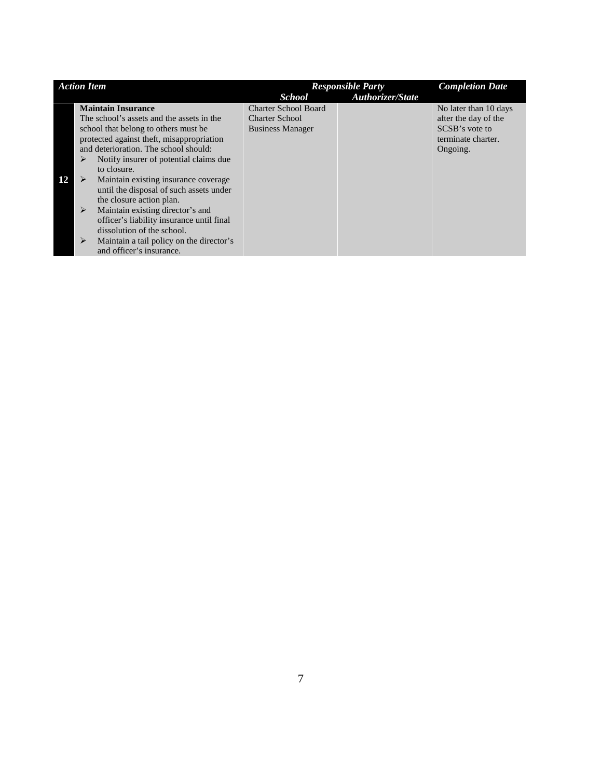|    | <b>Action Item</b> |                                           | <b>Responsible Party</b>    |                         | <b>Completion Date</b> |
|----|--------------------|-------------------------------------------|-----------------------------|-------------------------|------------------------|
|    |                    |                                           | <b>School</b>               | <b>Authorizer/State</b> |                        |
|    |                    | <b>Maintain Insurance</b>                 | <b>Charter School Board</b> |                         | No later than 10 days  |
|    |                    | The school's assets and the assets in the | <b>Charter School</b>       |                         | after the day of the   |
|    |                    | school that belong to others must be      | <b>Business Manager</b>     |                         | SCSB's vote to         |
|    |                    | protected against theft, misappropriation |                             |                         | terminate charter.     |
|    |                    | and deterioration. The school should:     |                             |                         | Ongoing.               |
|    | ⋗                  | Notify insurer of potential claims due    |                             |                         |                        |
|    |                    | to closure.                               |                             |                         |                        |
| 12 | ⋗                  | Maintain existing insurance coverage      |                             |                         |                        |
|    |                    | until the disposal of such assets under   |                             |                         |                        |
|    |                    | the closure action plan.                  |                             |                         |                        |
|    | ➤                  | Maintain existing director's and          |                             |                         |                        |
|    |                    | officer's liability insurance until final |                             |                         |                        |
|    |                    | dissolution of the school.                |                             |                         |                        |
|    | ⋗                  | Maintain a tail policy on the director's  |                             |                         |                        |
|    |                    | and officer's insurance.                  |                             |                         |                        |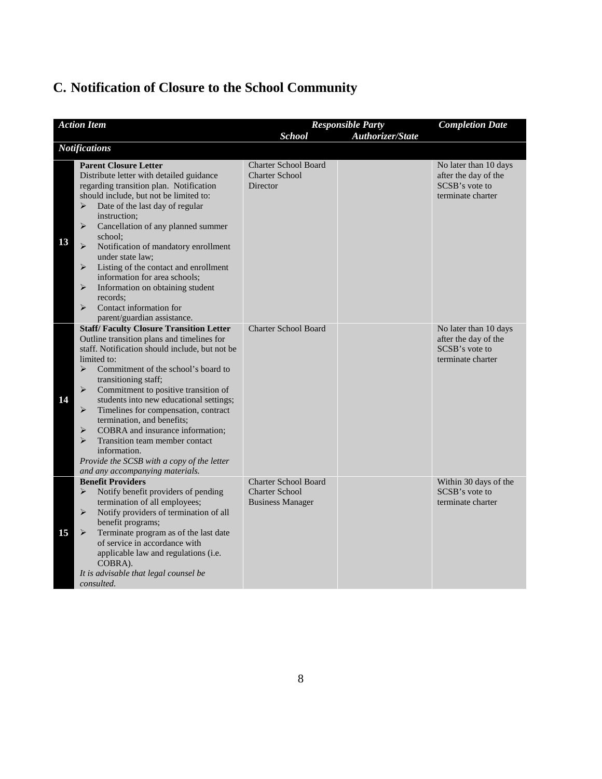# <span id="page-8-0"></span>**C. Notification of Closure to the School Community**

|    | <b>Action Item</b>                                                                                                                                                                                                                                                                                                                                                                                                                                                                                                                                                                                                                                                                        |                                                                                 | <b>Responsible Party</b> | <b>Completion Date</b>                                                               |
|----|-------------------------------------------------------------------------------------------------------------------------------------------------------------------------------------------------------------------------------------------------------------------------------------------------------------------------------------------------------------------------------------------------------------------------------------------------------------------------------------------------------------------------------------------------------------------------------------------------------------------------------------------------------------------------------------------|---------------------------------------------------------------------------------|--------------------------|--------------------------------------------------------------------------------------|
|    | <b>Notifications</b>                                                                                                                                                                                                                                                                                                                                                                                                                                                                                                                                                                                                                                                                      | <b>School</b>                                                                   | Authorizer/State         |                                                                                      |
|    |                                                                                                                                                                                                                                                                                                                                                                                                                                                                                                                                                                                                                                                                                           |                                                                                 |                          |                                                                                      |
| 13 | <b>Parent Closure Letter</b><br>Distribute letter with detailed guidance<br>regarding transition plan. Notification<br>should include, but not be limited to:<br>Date of the last day of regular<br>➤<br>instruction;<br>$\blacktriangleright$<br>Cancellation of any planned summer<br>school;<br>$\blacktriangleright$<br>Notification of mandatory enrollment<br>under state law;<br>Listing of the contact and enrollment<br>➤<br>information for area schools;<br>➤<br>Information on obtaining student<br>records:<br>Contact information for<br>➤<br>parent/guardian assistance.                                                                                                   | <b>Charter School Board</b><br><b>Charter School</b><br>Director                |                          | No later than 10 days<br>after the day of the<br>SCSB's vote to<br>terminate charter |
| 14 | <b>Staff/Faculty Closure Transition Letter</b><br>Outline transition plans and timelines for<br>staff. Notification should include, but not be<br>limited to:<br>$\blacktriangleright$<br>Commitment of the school's board to<br>transitioning staff;<br>$\blacktriangleright$<br>Commitment to positive transition of<br>students into new educational settings;<br>$\blacktriangleright$<br>Timelines for compensation, contract<br>termination, and benefits;<br>$\blacktriangleright$<br>COBRA and insurance information;<br>$\blacktriangleright$<br>Transition team member contact<br>information.<br>Provide the SCSB with a copy of the letter<br>and any accompanying materials. | <b>Charter School Board</b>                                                     |                          | No later than 10 days<br>after the day of the<br>SCSB's vote to<br>terminate charter |
| 15 | <b>Benefit Providers</b><br>$\blacktriangleright$<br>Notify benefit providers of pending<br>termination of all employees;<br>$\blacktriangleright$<br>Notify providers of termination of all<br>benefit programs;<br>Terminate program as of the last date<br>➤<br>of service in accordance with<br>applicable law and regulations (i.e.<br>COBRA).<br>It is advisable that legal counsel be<br>consulted.                                                                                                                                                                                                                                                                                | <b>Charter School Board</b><br><b>Charter School</b><br><b>Business Manager</b> |                          | Within 30 days of the<br>SCSB's vote to<br>terminate charter                         |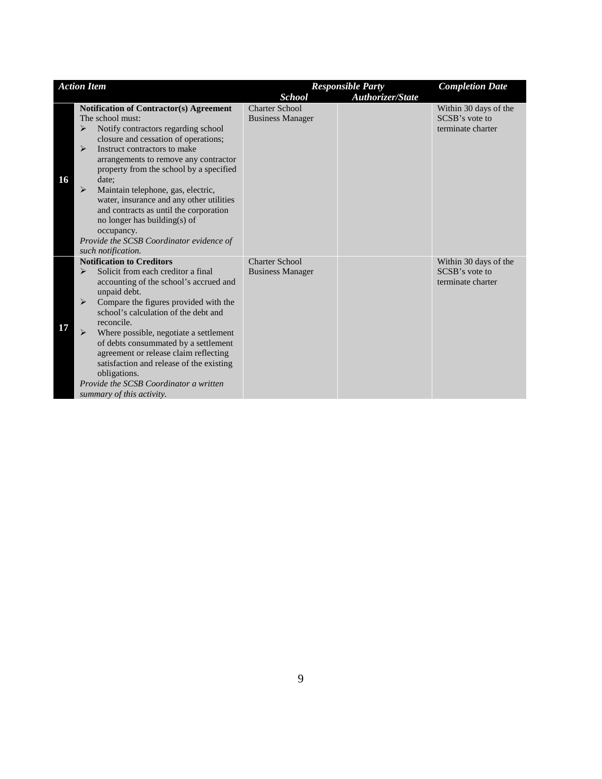|    | <b>Action Item</b>                                                                                                                                                                                                                                                                                                                                                                                                                                                                                                                                                                                    |                                                  | <b>Responsible Party</b> | <b>Completion Date</b>                                       |
|----|-------------------------------------------------------------------------------------------------------------------------------------------------------------------------------------------------------------------------------------------------------------------------------------------------------------------------------------------------------------------------------------------------------------------------------------------------------------------------------------------------------------------------------------------------------------------------------------------------------|--------------------------------------------------|--------------------------|--------------------------------------------------------------|
|    |                                                                                                                                                                                                                                                                                                                                                                                                                                                                                                                                                                                                       | <b>School</b>                                    | <b>Authorizer/State</b>  |                                                              |
| 16 | <b>Notification of Contractor(s) Agreement</b><br>The school must:<br>Notify contractors regarding school<br>$\blacktriangleright$<br>closure and cessation of operations;<br>Instruct contractors to make<br>$\blacktriangleright$<br>arrangements to remove any contractor<br>property from the school by a specified<br>date:<br>Maintain telephone, gas, electric,<br>$\blacktriangleright$<br>water, insurance and any other utilities<br>and contracts as until the corporation<br>no longer has building(s) of<br>occupancy.<br>Provide the SCSB Coordinator evidence of<br>such notification. | <b>Charter School</b><br><b>Business Manager</b> |                          | Within 30 days of the<br>SCSB's vote to<br>terminate charter |
| 17 | <b>Notification to Creditors</b><br>Solicit from each creditor a final<br>$\triangleright$<br>accounting of the school's accrued and<br>unpaid debt.<br>Compare the figures provided with the<br>$\triangleright$<br>school's calculation of the debt and<br>reconcile.<br>$\triangleright$<br>Where possible, negotiate a settlement<br>of debts consummated by a settlement<br>agreement or release claim reflecting<br>satisfaction and release of the existing<br>obligations.<br>Provide the SCSB Coordinator a written<br>summary of this activity.                                             | <b>Charter School</b><br><b>Business Manager</b> |                          | Within 30 days of the<br>SCSB's vote to<br>terminate charter |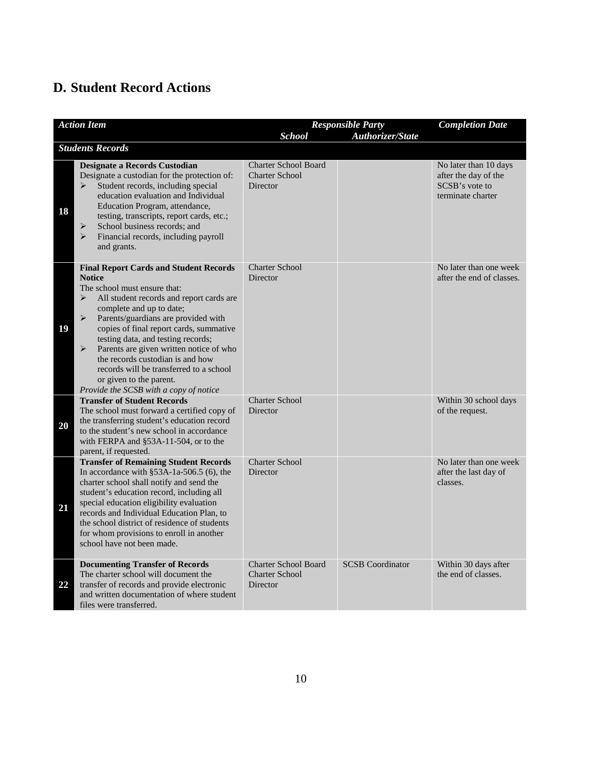## <span id="page-10-0"></span>**D. Student Record Actions**

| <b>Action Item</b> |                                                                                                                                                                                                                                                                                                                                                                                                                                                                                                                                                      | <b>Responsible Party</b>                                         |                         | <b>Completion Date</b>                                                               |
|--------------------|------------------------------------------------------------------------------------------------------------------------------------------------------------------------------------------------------------------------------------------------------------------------------------------------------------------------------------------------------------------------------------------------------------------------------------------------------------------------------------------------------------------------------------------------------|------------------------------------------------------------------|-------------------------|--------------------------------------------------------------------------------------|
|                    |                                                                                                                                                                                                                                                                                                                                                                                                                                                                                                                                                      | <b>School</b>                                                    | Authorizer/State        |                                                                                      |
|                    | <b>Students Records</b>                                                                                                                                                                                                                                                                                                                                                                                                                                                                                                                              |                                                                  |                         |                                                                                      |
| 18                 | <b>Designate a Records Custodian</b><br>Designate a custodian for the protection of:<br>Student records, including special<br>$\blacktriangleright$<br>education evaluation and Individual<br>Education Program, attendance,<br>testing, transcripts, report cards, etc.;<br>School business records; and<br>➤<br>$\blacktriangleright$<br>Financial records, including payroll<br>and grants.                                                                                                                                                       | <b>Charter School Board</b><br><b>Charter School</b><br>Director |                         | No later than 10 days<br>after the day of the<br>SCSB's vote to<br>terminate charter |
| 19                 | <b>Final Report Cards and Student Records</b><br><b>Notice</b><br>The school must ensure that:<br>All student records and report cards are<br>⋗<br>complete and up to date;<br>$\blacktriangleright$<br>Parents/guardians are provided with<br>copies of final report cards, summative<br>testing data, and testing records;<br>$\blacktriangleright$<br>Parents are given written notice of who<br>the records custodian is and how<br>records will be transferred to a school<br>or given to the parent.<br>Provide the SCSB with a copy of notice | <b>Charter School</b><br><b>Director</b>                         |                         | No later than one week<br>after the end of classes.                                  |
| 20                 | <b>Transfer of Student Records</b><br>The school must forward a certified copy of<br>the transferring student's education record<br>to the student's new school in accordance<br>with FERPA and §53A-11-504, or to the<br>parent, if requested.                                                                                                                                                                                                                                                                                                      | <b>Charter School</b><br>Director                                |                         | Within 30 school days<br>of the request.                                             |
| 21                 | <b>Transfer of Remaining Student Records</b><br>In accordance with $\S$ 53A-1a-506.5 (6), the<br>charter school shall notify and send the<br>student's education record, including all<br>special education eligibility evaluation<br>records and Individual Education Plan, to<br>the school district of residence of students<br>for whom provisions to enroll in another<br>school have not been made.                                                                                                                                            | <b>Charter School</b><br>Director                                |                         | No later than one week<br>after the last day of<br>classes.                          |
| 22                 | <b>Documenting Transfer of Records</b><br>The charter school will document the<br>transfer of records and provide electronic<br>and written documentation of where student<br>files were transferred.                                                                                                                                                                                                                                                                                                                                                | <b>Charter School Board</b><br><b>Charter School</b><br>Director | <b>SCSB</b> Coordinator | Within 30 days after<br>the end of classes.                                          |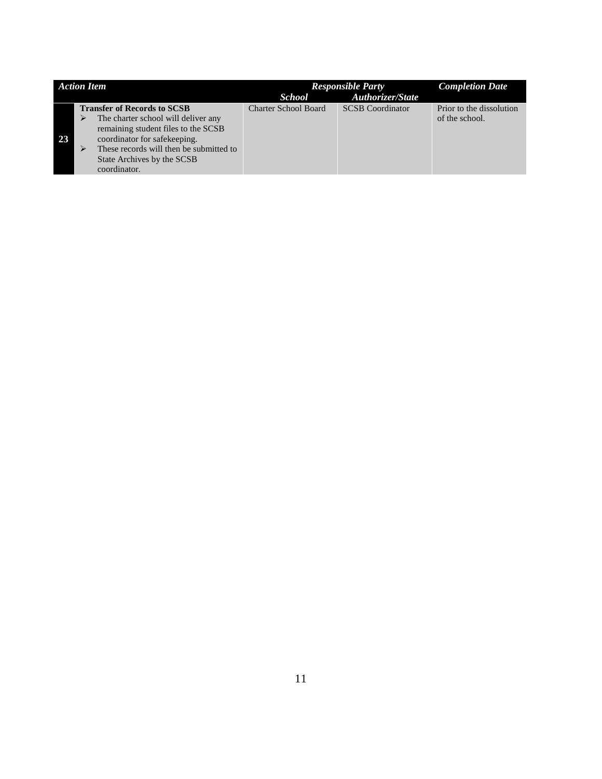<span id="page-11-0"></span>

| <b>Action Item</b> |   |                                                                                                                                                                                                                                           | <b>Responsible Party</b>    |                         | <b>Completion Date</b>                     |
|--------------------|---|-------------------------------------------------------------------------------------------------------------------------------------------------------------------------------------------------------------------------------------------|-----------------------------|-------------------------|--------------------------------------------|
|                    |   |                                                                                                                                                                                                                                           | <b>School</b>               | <b>Authorizer/State</b> |                                            |
| 23                 | ⋗ | <b>Transfer of Records to SCSB</b><br>The charter school will deliver any<br>remaining student files to the SCSB<br>coordinator for safekeeping.<br>These records will then be submitted to<br>State Archives by the SCSB<br>coordinator. | <b>Charter School Board</b> | <b>SCSB</b> Coordinator | Prior to the dissolution<br>of the school. |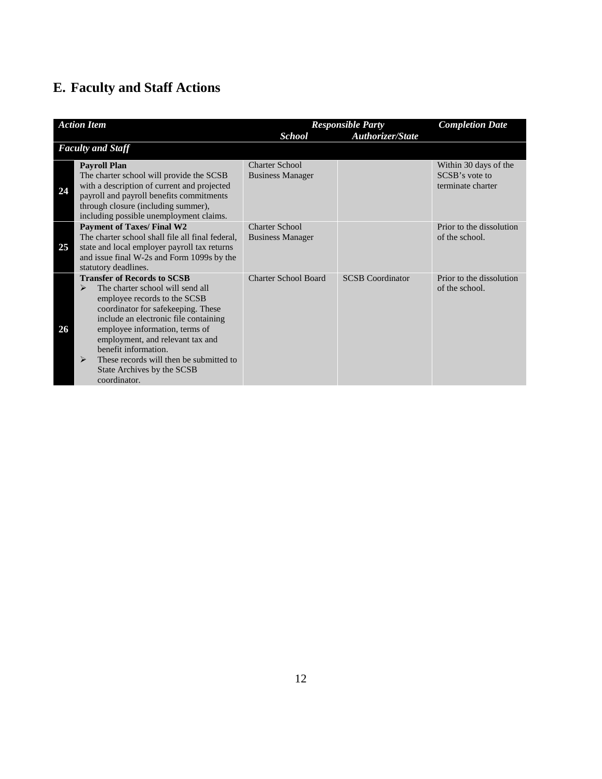# **E. Faculty and Staff Actions**

|    | <b>Action Item</b>                                                                                                                                                                                                                                                                                                                                                                     |                                                  | <b>Responsible Party</b> | <b>Completion Date</b>                                       |
|----|----------------------------------------------------------------------------------------------------------------------------------------------------------------------------------------------------------------------------------------------------------------------------------------------------------------------------------------------------------------------------------------|--------------------------------------------------|--------------------------|--------------------------------------------------------------|
|    |                                                                                                                                                                                                                                                                                                                                                                                        | <b>School</b>                                    | <b>Authorizer/State</b>  |                                                              |
|    | <b>Faculty and Staff</b>                                                                                                                                                                                                                                                                                                                                                               |                                                  |                          |                                                              |
| 24 | <b>Payroll Plan</b><br>The charter school will provide the SCSB<br>with a description of current and projected<br>payroll and payroll benefits commitments<br>through closure (including summer),<br>including possible unemployment claims.                                                                                                                                           | <b>Charter School</b><br><b>Business Manager</b> |                          | Within 30 days of the<br>SCSB's vote to<br>terminate charter |
| 25 | <b>Payment of Taxes/ Final W2</b><br>The charter school shall file all final federal,<br>state and local employer payroll tax returns<br>and issue final W-2s and Form 1099s by the<br>statutory deadlines.                                                                                                                                                                            | Charter School<br><b>Business Manager</b>        |                          | Prior to the dissolution<br>of the school.                   |
| 26 | <b>Transfer of Records to SCSB</b><br>The charter school will send all<br>⋗<br>employee records to the SCSB<br>coordinator for safekeeping. These<br>include an electronic file containing<br>employee information, terms of<br>employment, and relevant tax and<br>benefit information.<br>These records will then be submitted to<br>⋗<br>State Archives by the SCSB<br>coordinator. | <b>Charter School Board</b>                      | <b>SCSB</b> Coordinator  | Prior to the dissolution<br>of the school.                   |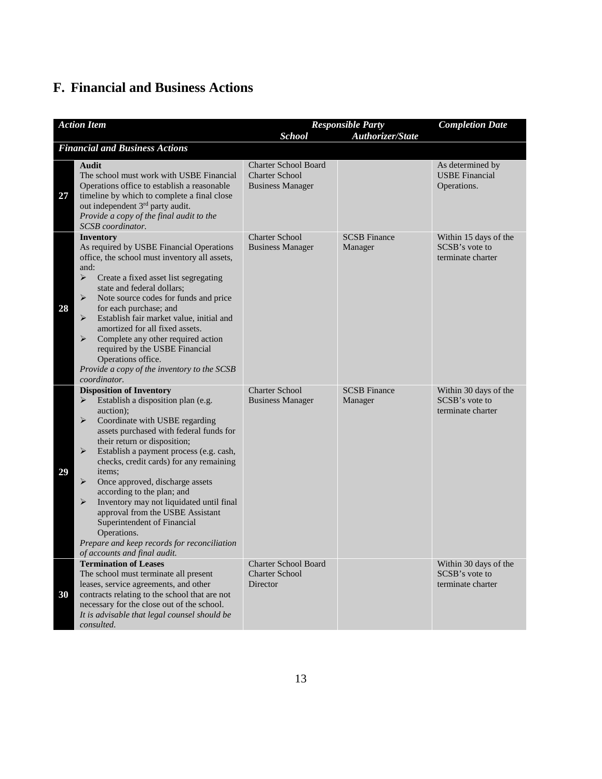## <span id="page-13-0"></span>**F. Financial and Business Actions**

| <b>Action Item</b> |                                                                                                                                                                                                                                                                                                                                                                                                                                                                                                                                                                                                                            | <b>School</b>                                                                   | <b>Responsible Party</b><br>Authorizer/State | <b>Completion Date</b>                                       |
|--------------------|----------------------------------------------------------------------------------------------------------------------------------------------------------------------------------------------------------------------------------------------------------------------------------------------------------------------------------------------------------------------------------------------------------------------------------------------------------------------------------------------------------------------------------------------------------------------------------------------------------------------------|---------------------------------------------------------------------------------|----------------------------------------------|--------------------------------------------------------------|
|                    | <b>Financial and Business Actions</b>                                                                                                                                                                                                                                                                                                                                                                                                                                                                                                                                                                                      |                                                                                 |                                              |                                                              |
| 27                 | Audit<br>The school must work with USBE Financial<br>Operations office to establish a reasonable<br>timeline by which to complete a final close<br>out independent 3 <sup>rd</sup> party audit.<br>Provide a copy of the final audit to the<br>SCSB coordinator.                                                                                                                                                                                                                                                                                                                                                           | <b>Charter School Board</b><br><b>Charter School</b><br><b>Business Manager</b> |                                              | As determined by<br><b>USBE</b> Financial<br>Operations.     |
| 28                 | Inventory<br>As required by USBE Financial Operations<br>office, the school must inventory all assets,<br>and:<br>$\blacktriangleright$<br>Create a fixed asset list segregating<br>state and federal dollars;<br>➤<br>Note source codes for funds and price<br>for each purchase; and<br>Establish fair market value, initial and<br>⋗<br>amortized for all fixed assets.<br>⋗<br>Complete any other required action<br>required by the USBE Financial<br>Operations office.<br>Provide a copy of the inventory to the SCSB<br>coordinator.                                                                               | <b>Charter School</b><br><b>Business Manager</b>                                | <b>SCSB Finance</b><br>Manager               | Within 15 days of the<br>SCSB's vote to<br>terminate charter |
| 29                 | <b>Disposition of Inventory</b><br>Establish a disposition plan (e.g.<br>➤<br>auction);<br>➤<br>Coordinate with USBE regarding<br>assets purchased with federal funds for<br>their return or disposition;<br>➤<br>Establish a payment process (e.g. cash,<br>checks, credit cards) for any remaining<br>items:<br>➤<br>Once approved, discharge assets<br>according to the plan; and<br>$\blacktriangleright$<br>Inventory may not liquidated until final<br>approval from the USBE Assistant<br>Superintendent of Financial<br>Operations.<br>Prepare and keep records for reconciliation<br>of accounts and final audit. | <b>Charter School</b><br><b>Business Manager</b>                                | <b>SCSB Finance</b><br>Manager               | Within 30 days of the<br>SCSB's vote to<br>terminate charter |
| 30                 | <b>Termination of Leases</b><br>The school must terminate all present<br>leases, service agreements, and other<br>contracts relating to the school that are not<br>necessary for the close out of the school.<br>It is advisable that legal counsel should be<br>consulted.                                                                                                                                                                                                                                                                                                                                                | Charter School Board<br><b>Charter School</b><br>Director                       |                                              | Within 30 days of the<br>SCSB's vote to<br>terminate charter |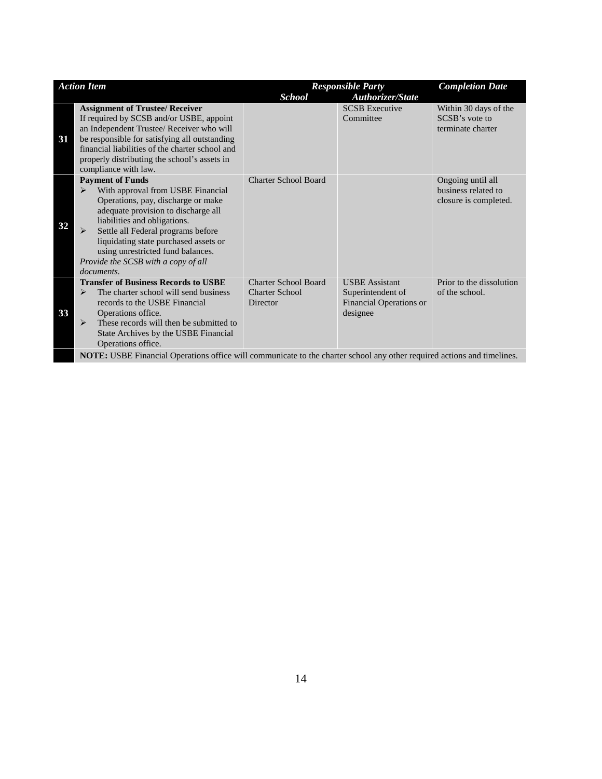| <b>Action Item</b> |                                                                                                                                                                                                                                                                                                                                                                     |                                   | <b>Responsible Party</b>                                 | <b>Completion Date</b>                                            |
|--------------------|---------------------------------------------------------------------------------------------------------------------------------------------------------------------------------------------------------------------------------------------------------------------------------------------------------------------------------------------------------------------|-----------------------------------|----------------------------------------------------------|-------------------------------------------------------------------|
|                    |                                                                                                                                                                                                                                                                                                                                                                     | <b>School</b>                     | <b>Authorizer/State</b>                                  |                                                                   |
| 31                 | <b>Assignment of Trustee/ Receiver</b><br>If required by SCSB and/or USBE, appoint<br>an Independent Trustee/ Receiver who will<br>be responsible for satisfying all outstanding<br>financial liabilities of the charter school and<br>properly distributing the school's assets in<br>compliance with law.                                                         |                                   | <b>SCSB</b> Executive<br>Committee                       | Within 30 days of the<br>SCSB's vote to<br>terminate charter      |
| 32                 | <b>Payment of Funds</b><br>With approval from USBE Financial<br>⋗<br>Operations, pay, discharge or make<br>adequate provision to discharge all<br>liabilities and obligations.<br>Settle all Federal programs before<br>⋗<br>liquidating state purchased assets or<br>using unrestricted fund balances.<br>Provide the SCSB with a copy of all<br><i>documents.</i> | <b>Charter School Board</b>       |                                                          | Ongoing until all<br>business related to<br>closure is completed. |
|                    | <b>Transfer of Business Records to USBE</b>                                                                                                                                                                                                                                                                                                                         | <b>Charter School Board</b>       | <b>USBE</b> Assistant                                    | Prior to the dissolution                                          |
| 33                 | $\blacktriangleright$<br>The charter school will send business<br>records to the USBE Financial<br>Operations office.<br>These records will then be submitted to<br>⋗<br>State Archives by the USBE Financial<br>Operations office.                                                                                                                                 | <b>Charter School</b><br>Director | Superintendent of<br>Financial Operations or<br>designee | of the school.                                                    |
|                    | <b>NOTE:</b> USBE Financial Operations office will communicate to the charter school any other required actions and timelines.                                                                                                                                                                                                                                      |                                   |                                                          |                                                                   |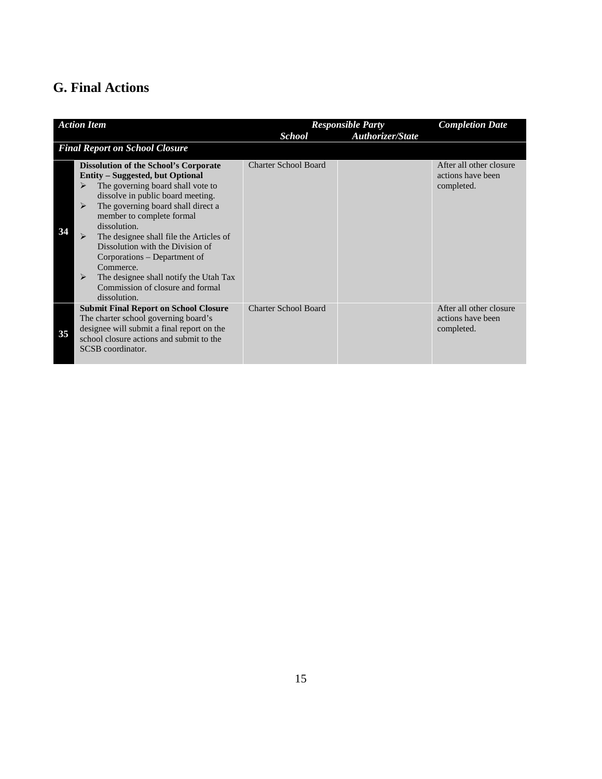## <span id="page-15-0"></span>**G. Final Actions**

|    | <b>Action Item</b>                                                                                                                                                                                                                                                                                                                                                                                                                                                                                 |                             | <b>Responsible Party</b> | <b>Completion Date</b>                                     |
|----|----------------------------------------------------------------------------------------------------------------------------------------------------------------------------------------------------------------------------------------------------------------------------------------------------------------------------------------------------------------------------------------------------------------------------------------------------------------------------------------------------|-----------------------------|--------------------------|------------------------------------------------------------|
|    |                                                                                                                                                                                                                                                                                                                                                                                                                                                                                                    | <b>School</b>               | <b>Authorizer/State</b>  |                                                            |
|    | <b>Final Report on School Closure</b>                                                                                                                                                                                                                                                                                                                                                                                                                                                              |                             |                          |                                                            |
| 34 | <b>Dissolution of the School's Corporate</b><br><b>Entity – Suggested, but Optional</b><br>The governing board shall vote to<br>➤<br>dissolve in public board meeting.<br>The governing board shall direct a<br>≻<br>member to complete formal<br>dissolution.<br>➤<br>The designee shall file the Articles of<br>Dissolution with the Division of<br>Corporations – Department of<br>Commerce.<br>The designee shall notify the Utah Tax<br>⋗<br>Commission of closure and formal<br>dissolution. | <b>Charter School Board</b> |                          | After all other closure<br>actions have been<br>completed. |
| 35 | <b>Submit Final Report on School Closure</b><br>The charter school governing board's<br>designee will submit a final report on the<br>school closure actions and submit to the<br>SCSB coordinator.                                                                                                                                                                                                                                                                                                | <b>Charter School Board</b> |                          | After all other closure<br>actions have been<br>completed. |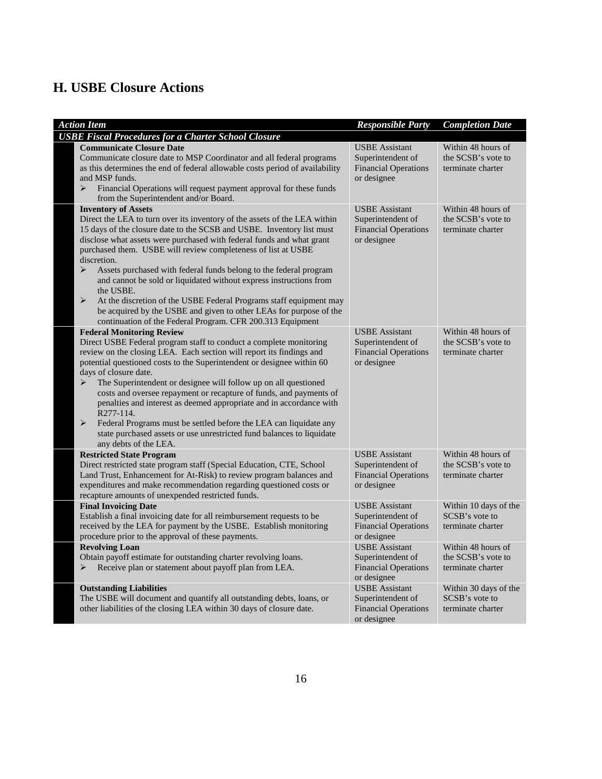## <span id="page-16-0"></span>**H. USBE Closure Actions**

| <b>Action Item</b>                                                                                                                                                                                                                                                                                                                                                                                                                                                                                                                                                                                                                                                                                                    | <b>Responsible Party</b>                                                                 | <b>Completion Date</b>                                        |
|-----------------------------------------------------------------------------------------------------------------------------------------------------------------------------------------------------------------------------------------------------------------------------------------------------------------------------------------------------------------------------------------------------------------------------------------------------------------------------------------------------------------------------------------------------------------------------------------------------------------------------------------------------------------------------------------------------------------------|------------------------------------------------------------------------------------------|---------------------------------------------------------------|
| <b>USBE Fiscal Procedures for a Charter School Closure</b>                                                                                                                                                                                                                                                                                                                                                                                                                                                                                                                                                                                                                                                            |                                                                                          |                                                               |
| <b>Communicate Closure Date</b><br>Communicate closure date to MSP Coordinator and all federal programs<br>as this determines the end of federal allowable costs period of availability<br>and MSP funds.<br>Financial Operations will request payment approval for these funds<br>⋗<br>from the Superintendent and/or Board.                                                                                                                                                                                                                                                                                                                                                                                         | <b>USBE</b> Assistant<br>Superintendent of<br><b>Financial Operations</b><br>or designee | Within 48 hours of<br>the SCSB's vote to<br>terminate charter |
| <b>Inventory of Assets</b><br>Direct the LEA to turn over its inventory of the assets of the LEA within<br>15 days of the closure date to the SCSB and USBE. Inventory list must<br>disclose what assets were purchased with federal funds and what grant<br>purchased them. USBE will review completeness of list at USBE<br>discretion.<br>⋗<br>Assets purchased with federal funds belong to the federal program<br>and cannot be sold or liquidated without express instructions from<br>the USBE.<br>➤<br>At the discretion of the USBE Federal Programs staff equipment may<br>be acquired by the USBE and given to other LEAs for purpose of the<br>continuation of the Federal Program. CFR 200.313 Equipment | <b>USBE</b> Assistant<br>Superintendent of<br><b>Financial Operations</b><br>or designee | Within 48 hours of<br>the SCSB's vote to<br>terminate charter |
| <b>Federal Monitoring Review</b><br>Direct USBE Federal program staff to conduct a complete monitoring<br>review on the closing LEA. Each section will report its findings and<br>potential questioned costs to the Superintendent or designee within 60<br>days of closure date.<br>The Superintendent or designee will follow up on all questioned<br>➤<br>costs and oversee repayment or recapture of funds, and payments of<br>penalties and interest as deemed appropriate and in accordance with<br>R277-114.<br>➤<br>Federal Programs must be settled before the LEA can liquidate any<br>state purchased assets or use unrestricted fund balances to liquidate<br>any debts of the LEA.                       | <b>USBE</b> Assistant<br>Superintendent of<br><b>Financial Operations</b><br>or designee | Within 48 hours of<br>the SCSB's vote to<br>terminate charter |
| <b>Restricted State Program</b><br>Direct restricted state program staff (Special Education, CTE, School<br>Land Trust, Enhancement for At-Risk) to review program balances and<br>expenditures and make recommendation regarding questioned costs or<br>recapture amounts of unexpended restricted funds.                                                                                                                                                                                                                                                                                                                                                                                                            | <b>USBE</b> Assistant<br>Superintendent of<br><b>Financial Operations</b><br>or designee | Within 48 hours of<br>the SCSB's vote to<br>terminate charter |
| <b>Final Invoicing Date</b><br>Establish a final invoicing date for all reimbursement requests to be<br>received by the LEA for payment by the USBE. Establish monitoring<br>procedure prior to the approval of these payments.                                                                                                                                                                                                                                                                                                                                                                                                                                                                                       | <b>USBE</b> Assistant<br>Superintendent of<br><b>Financial Operations</b><br>or designee | Within 10 days of the<br>SCSB's vote to<br>terminate charter  |
| <b>Revolving Loan</b><br>Obtain payoff estimate for outstanding charter revolving loans.<br>Receive plan or statement about payoff plan from LEA.<br>➤                                                                                                                                                                                                                                                                                                                                                                                                                                                                                                                                                                | <b>USBE</b> Assistant<br>Superintendent of<br><b>Financial Operations</b><br>or designee | Within 48 hours of<br>the SCSB's vote to<br>terminate charter |
| <b>Outstanding Liabilities</b><br>The USBE will document and quantify all outstanding debts, loans, or<br>other liabilities of the closing LEA within 30 days of closure date.                                                                                                                                                                                                                                                                                                                                                                                                                                                                                                                                        | <b>USBE</b> Assistant<br>Superintendent of<br><b>Financial Operations</b><br>or designee | Within 30 days of the<br>SCSB's vote to<br>terminate charter  |